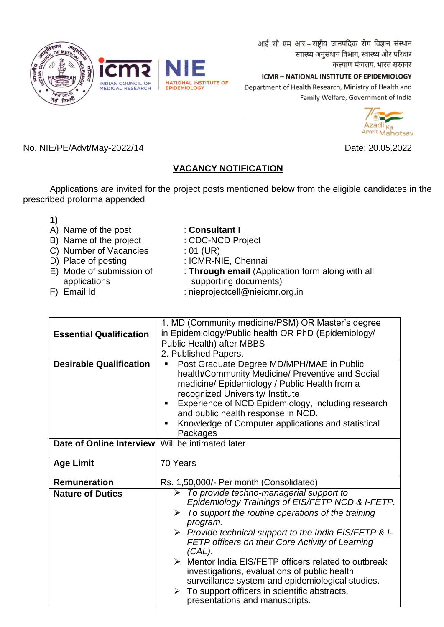आई सी एम आर - राष्ट्रीय जानपदिक रोग विज्ञान संस्थान स्वास्थ्य अनुसंधान विभाग, स्वास्थ्य और परिवार कल्याण मंत्रालय, भारत सरकार

ICMR - NATIONAL INSTITUTE OF EPIDEMIOLOGY Department of Health Research, Ministry of Health and Family Welfare, Government of India



No. NIE/PE/Advt/May-2022/14 Date: 20.05.2022

# **VACANCY NOTIFICATION**

Applications are invited for the project posts mentioned below from the eligible candidates in the prescribed proforma appended

| 1) |                          |                                                  |
|----|--------------------------|--------------------------------------------------|
|    | A) Name of the post      | : Consultant I                                   |
|    | B) Name of the project   | : CDC-NCD Project                                |
|    | C) Number of Vacancies   | : 01 (UR)                                        |
|    | D) Place of posting      | : ICMR-NIE, Chennai                              |
|    | E) Mode of submission of | : Through email (Application form along with all |
|    | applications             | supporting documents)                            |
|    | F) Email Id              | : nieprojectcell@nieicmr.org.in                  |

|                                | 1. MD (Community medicine/PSM) OR Master's degree                                                                                                                                                                                 |  |  |  |
|--------------------------------|-----------------------------------------------------------------------------------------------------------------------------------------------------------------------------------------------------------------------------------|--|--|--|
| <b>Essential Qualification</b> | in Epidemiology/Public health OR PhD (Epidemiology/                                                                                                                                                                               |  |  |  |
|                                | <b>Public Health) after MBBS</b>                                                                                                                                                                                                  |  |  |  |
|                                | 2. Published Papers.                                                                                                                                                                                                              |  |  |  |
| <b>Desirable Qualification</b> | Post Graduate Degree MD/MPH/MAE in Public<br>п                                                                                                                                                                                    |  |  |  |
|                                | health/Community Medicine/ Preventive and Social<br>medicine/ Epidemiology / Public Health from a<br>recognized University/ Institute<br>Experience of NCD Epidemiology, including research<br>and public health response in NCD. |  |  |  |
|                                | Knowledge of Computer applications and statistical<br>п                                                                                                                                                                           |  |  |  |
|                                | Packages                                                                                                                                                                                                                          |  |  |  |
| Date of Online Interview       | Will be intimated later                                                                                                                                                                                                           |  |  |  |
|                                |                                                                                                                                                                                                                                   |  |  |  |
| <b>Age Limit</b>               | 70 Years                                                                                                                                                                                                                          |  |  |  |
|                                |                                                                                                                                                                                                                                   |  |  |  |
| <b>Remuneration</b>            | Rs. 1,50,000/- Per month (Consolidated)                                                                                                                                                                                           |  |  |  |
| <b>Nature of Duties</b>        | $\triangleright$ To provide techno-managerial support to<br>Epidemiology Trainings of EIS/FETP NCD & I-FETP.                                                                                                                      |  |  |  |
|                                | $\triangleright$ To support the routine operations of the training<br>program.                                                                                                                                                    |  |  |  |
|                                | > Provide technical support to the India EIS/FETP & I-<br>FETP officers on their Core Activity of Learning<br>$(CAL)$ .                                                                                                           |  |  |  |
|                                | $\triangleright$ Mentor India EIS/FETP officers related to outbreak<br>investigations, evaluations of public health<br>surveillance system and epidemiological studies.                                                           |  |  |  |
|                                | To support officers in scientific abstracts,<br>presentations and manuscripts.                                                                                                                                                    |  |  |  |

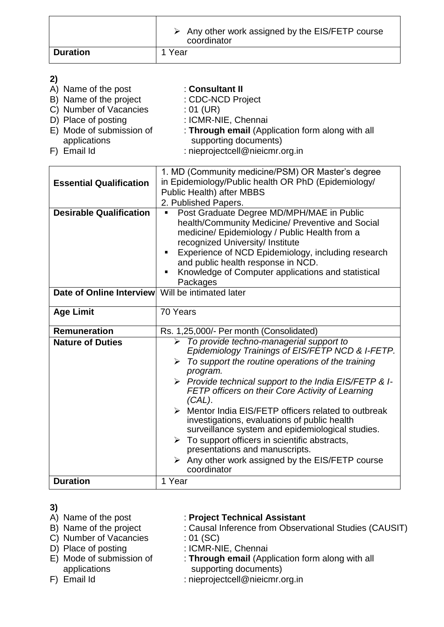|                 | $\triangleright$ Any other work assigned by the EIS/FETP course<br>coordinator |
|-----------------|--------------------------------------------------------------------------------|
| <b>Duration</b> | 1 Year                                                                         |

# **2)**

| A) Name of the post      | : Consultant II                                  |
|--------------------------|--------------------------------------------------|
| B) Name of the project   | : CDC-NCD Project                                |
| C) Number of Vacancies   | : 01 (UR)                                        |
| D) Place of posting      | : ICMR-NIE, Chennai                              |
| E) Mode of submission of | : Through email (Application form along with all |
| applications             | supporting documents)                            |
| F) Email Id              | : nieprojectcell@nieicmr.org.in                  |

|                                | 1. MD (Community medicine/PSM) OR Master's degree                                                                                                                                                                                                                                                                                                          |  |  |  |  |
|--------------------------------|------------------------------------------------------------------------------------------------------------------------------------------------------------------------------------------------------------------------------------------------------------------------------------------------------------------------------------------------------------|--|--|--|--|
| <b>Essential Qualification</b> | in Epidemiology/Public health OR PhD (Epidemiology/                                                                                                                                                                                                                                                                                                        |  |  |  |  |
|                                | Public Health) after MBBS                                                                                                                                                                                                                                                                                                                                  |  |  |  |  |
|                                | 2. Published Papers.                                                                                                                                                                                                                                                                                                                                       |  |  |  |  |
| <b>Desirable Qualification</b> | Post Graduate Degree MD/MPH/MAE in Public<br>٠<br>health/Community Medicine/ Preventive and Social<br>medicine/ Epidemiology / Public Health from a<br>recognized University/ Institute<br>Experience of NCD Epidemiology, including research<br>and public health response in NCD.<br>Knowledge of Computer applications and statistical<br>٠<br>Packages |  |  |  |  |
| Date of Online Interview       | Will be intimated later                                                                                                                                                                                                                                                                                                                                    |  |  |  |  |
| <b>Age Limit</b>               | 70 Years                                                                                                                                                                                                                                                                                                                                                   |  |  |  |  |
| <b>Remuneration</b>            | Rs. 1,25,000/- Per month (Consolidated)                                                                                                                                                                                                                                                                                                                    |  |  |  |  |
| <b>Nature of Duties</b>        | $\triangleright$ To provide techno-managerial support to                                                                                                                                                                                                                                                                                                   |  |  |  |  |
|                                | Epidemiology Trainings of EIS/FETP NCD & I-FETP.                                                                                                                                                                                                                                                                                                           |  |  |  |  |
|                                | $\triangleright$ To support the routine operations of the training<br>program.                                                                                                                                                                                                                                                                             |  |  |  |  |
|                                | > Provide technical support to the India EIS/FETP & I-<br>FETP officers on their Core Activity of Learning<br>$(CAL)$ .                                                                                                                                                                                                                                    |  |  |  |  |
|                                | > Mentor India EIS/FETP officers related to outbreak<br>investigations, evaluations of public health<br>surveillance system and epidemiological studies.                                                                                                                                                                                                   |  |  |  |  |
|                                | $\triangleright$ To support officers in scientific abstracts,<br>presentations and manuscripts.                                                                                                                                                                                                                                                            |  |  |  |  |
|                                | $\triangleright$ Any other work assigned by the EIS/FETP course<br>coordinator                                                                                                                                                                                                                                                                             |  |  |  |  |
| <b>Duration</b>                | 1 Year                                                                                                                                                                                                                                                                                                                                                     |  |  |  |  |

- **3)**
- 
- C) Number of Vacancies : 01 (SC)
- 
- D) Place of posting<br>E) Mode of submission of
- 
- 
- A) Name of the post : **Project Technical Assistant**<br>
B) Name of the project : Causal Inference from Observ : Causal Inference from Observational Studies (CAUSIT)
	-
	-
- Place of posting : ICMR-NIE, Chennai<br>
Mode of submission of : **Through email** (Application form along with all<br>
applications supporting documents) applications supporting documents)<br>F) Email Id : nieprojectcell@nieicmr.c
	- : [nieprojectcell@nieicmr.org.in](mailto:nieprojectcell@nieicmr.org.in)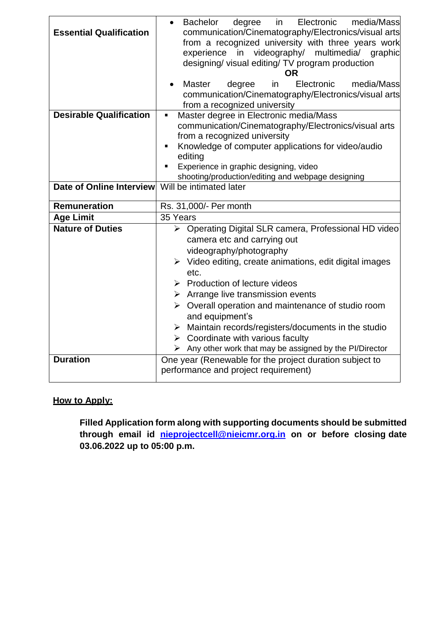| <b>Essential Qualification</b> | Electronic<br>media/Mass<br><b>Bachelor</b><br>degree<br>in<br>$\bullet$<br>communication/Cinematography/Electronics/visual arts<br>from a recognized university with three years work<br>experience in videography/ multimedia/ graphic<br>designing/ visual editing/ TV program production<br>OR.                                                                                                                                                                                                                                                                                                   |  |  |  |  |
|--------------------------------|-------------------------------------------------------------------------------------------------------------------------------------------------------------------------------------------------------------------------------------------------------------------------------------------------------------------------------------------------------------------------------------------------------------------------------------------------------------------------------------------------------------------------------------------------------------------------------------------------------|--|--|--|--|
|                                | Master<br>degree<br>in<br>Electronic<br>media/Mass<br>communication/Cinematography/Electronics/visual arts<br>from a recognized university                                                                                                                                                                                                                                                                                                                                                                                                                                                            |  |  |  |  |
| <b>Desirable Qualification</b> | Master degree in Electronic media/Mass<br>$\blacksquare$<br>communication/Cinematography/Electronics/visual arts<br>from a recognized university<br>Knowledge of computer applications for video/audio<br>п<br>editing<br>Experience in graphic designing, video<br>٠<br>shooting/production/editing and webpage designing                                                                                                                                                                                                                                                                            |  |  |  |  |
| Date of Online Interview       | Will be intimated later                                                                                                                                                                                                                                                                                                                                                                                                                                                                                                                                                                               |  |  |  |  |
| <b>Remuneration</b>            | Rs. 31,000/- Per month                                                                                                                                                                                                                                                                                                                                                                                                                                                                                                                                                                                |  |  |  |  |
| <b>Age Limit</b>               | 35 Years                                                                                                                                                                                                                                                                                                                                                                                                                                                                                                                                                                                              |  |  |  |  |
| <b>Nature of Duties</b>        | ▶ Operating Digital SLR camera, Professional HD video<br>camera etc and carrying out<br>videography/photography<br>$\triangleright$ Video editing, create animations, edit digital images<br>etc.<br>$\triangleright$ Production of lecture videos<br>$\triangleright$ Arrange live transmission events<br>$\triangleright$ Overall operation and maintenance of studio room<br>and equipment's<br>$\triangleright$ Maintain records/registers/documents in the studio<br>$\triangleright$ Coordinate with various faculty<br>$\triangleright$ Any other work that may be assigned by the PI/Director |  |  |  |  |
| <b>Duration</b>                | One year (Renewable for the project duration subject to<br>performance and project requirement)                                                                                                                                                                                                                                                                                                                                                                                                                                                                                                       |  |  |  |  |

## **How to Apply:**

**Filled Application form along with supporting documents should be submitted through email id [nieprojectcell@nieicmr.org.in](mailto:nieprojectcell@nieicmr.org.in) on or before closing date 03.06.2022 up to 05:00 p.m.**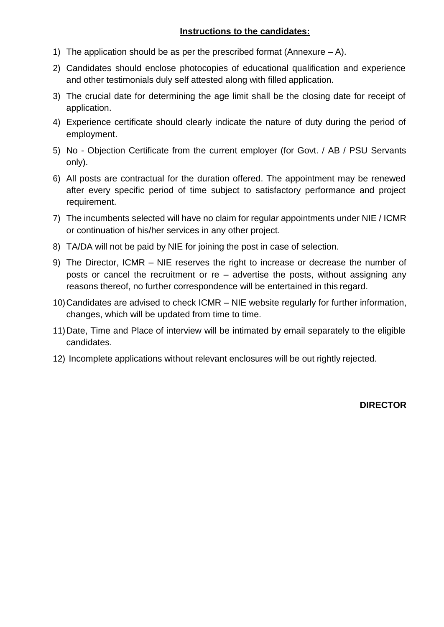## **Instructions to the candidates:**

- 1) The application should be as per the prescribed format (Annexure  $A$ ).
- 2) Candidates should enclose photocopies of educational qualification and experience and other testimonials duly self attested along with filled application.
- 3) The crucial date for determining the age limit shall be the closing date for receipt of application.
- 4) Experience certificate should clearly indicate the nature of duty during the period of employment.
- 5) No Objection Certificate from the current employer (for Govt. / AB / PSU Servants only).
- 6) All posts are contractual for the duration offered. The appointment may be renewed after every specific period of time subject to satisfactory performance and project requirement.
- 7) The incumbents selected will have no claim for regular appointments under NIE / ICMR or continuation of his/her services in any other project.
- 8) TA/DA will not be paid by NIE for joining the post in case of selection.
- 9) The Director, ICMR NIE reserves the right to increase or decrease the number of posts or cancel the recruitment or re – advertise the posts, without assigning any reasons thereof, no further correspondence will be entertained in this regard.
- 10)Candidates are advised to check ICMR NIE website regularly for further information, changes, which will be updated from time to time.
- 11)Date, Time and Place of interview will be intimated by email separately to the eligible candidates.
- 12) Incomplete applications without relevant enclosures will be out rightly rejected.

**DIRECTOR**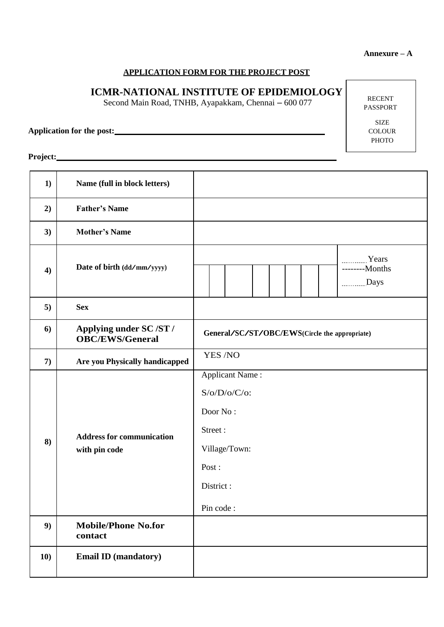#### **Annexure – A**

## **APPLICATION FORM FOR THE PROJECT POST**

# **ICMR-NATIONAL INSTITUTE OF EPIDEMIOLOGY**

Second Main Road, TNHB, Ayapakkam, Chennai – 600 077

**Application for the post:**

**Project:**

| 1)  | Name (full in block letters)                      |                                                                                                                      |  |  |
|-----|---------------------------------------------------|----------------------------------------------------------------------------------------------------------------------|--|--|
| 2)  | <b>Father's Name</b>                              |                                                                                                                      |  |  |
| 3)  | <b>Mother's Name</b>                              |                                                                                                                      |  |  |
| 4)  | Date of birth (dd/mm/yyyy)                        | Years<br>--------Months<br>Days                                                                                      |  |  |
| 5)  | <b>Sex</b>                                        |                                                                                                                      |  |  |
| 6)  | Applying under SC /ST /<br><b>OBC/EWS/General</b> | General/SC/ST/OBC/EWS(Circle the appropriate)                                                                        |  |  |
| 7)  | Are you Physically handicapped                    | YES /NO                                                                                                              |  |  |
| 8)  | <b>Address for communication</b><br>with pin code | <b>Applicant Name:</b><br>$S/O/D/O/C/O$ :<br>Door No:<br>Street:<br>Village/Town:<br>Post:<br>District:<br>Pin code: |  |  |
| 9)  | <b>Mobile/Phone No.for</b><br>contact             |                                                                                                                      |  |  |
| 10) | <b>Email ID (mandatory)</b>                       |                                                                                                                      |  |  |

RECENT PASSPORT

> SIZE **COLOUR** PHOTO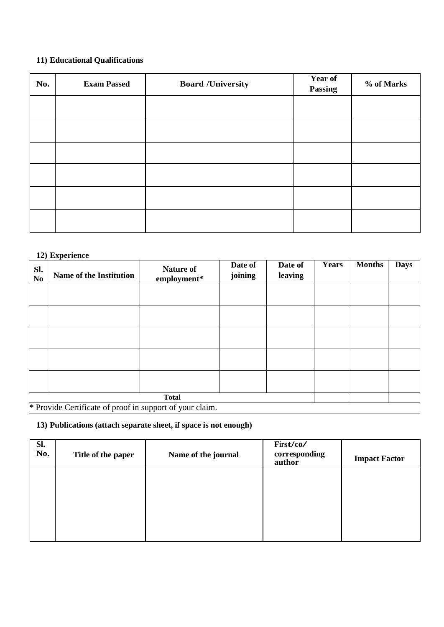## **11) Educational Qualifications**

| No. | <b>Exam Passed</b> | <b>Board /University</b> | <b>Year of</b><br>Passing | % of Marks |
|-----|--------------------|--------------------------|---------------------------|------------|
|     |                    |                          |                           |            |
|     |                    |                          |                           |            |
|     |                    |                          |                           |            |
|     |                    |                          |                           |            |
|     |                    |                          |                           |            |
|     |                    |                          |                           |            |

## **12) Experience**

| SI.<br>N <sub>0</sub> | <b>Name of the Institution</b>                                           | <b>Nature of</b><br>employment* | Date of<br>joining | Date of<br>leaving | <b>Years</b> | <b>Months</b> | <b>Days</b> |
|-----------------------|--------------------------------------------------------------------------|---------------------------------|--------------------|--------------------|--------------|---------------|-------------|
|                       |                                                                          |                                 |                    |                    |              |               |             |
|                       |                                                                          |                                 |                    |                    |              |               |             |
|                       |                                                                          |                                 |                    |                    |              |               |             |
|                       |                                                                          |                                 |                    |                    |              |               |             |
|                       |                                                                          |                                 |                    |                    |              |               |             |
|                       | <b>Total</b><br>* Provide Certificate of proof in support of your claim. |                                 |                    |                    |              |               |             |

**13) Publications (attach separate sheet, if space is not enough)**

| Sl.<br>No. | Title of the paper | Name of the journal | First/co/<br>corresponding<br>author | <b>Impact Factor</b> |
|------------|--------------------|---------------------|--------------------------------------|----------------------|
|            |                    |                     |                                      |                      |
|            |                    |                     |                                      |                      |
|            |                    |                     |                                      |                      |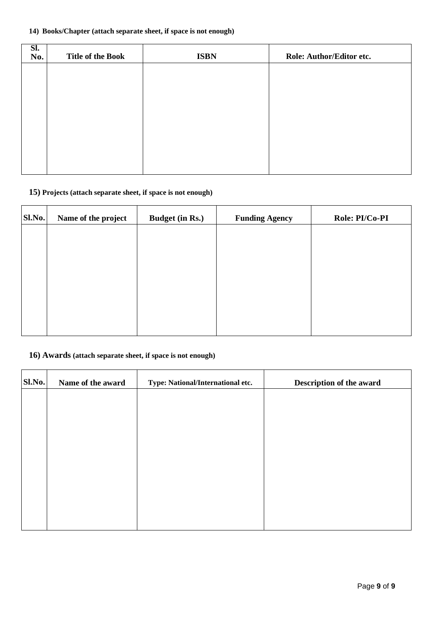## **14) Books/Chapter (attach separate sheet, if space is not enough)**

| SI.<br>No. | <b>Title of the Book</b> | <b>ISBN</b> | Role: Author/Editor etc. |
|------------|--------------------------|-------------|--------------------------|
|            |                          |             |                          |
|            |                          |             |                          |
|            |                          |             |                          |
|            |                          |             |                          |
|            |                          |             |                          |
|            |                          |             |                          |

#### **15) Projects (attach separate sheet, if space is not enough)**

| Name of the project | <b>Budget (in Rs.)</b> | <b>Funding Agency</b> | Role: PI/Co-PI |
|---------------------|------------------------|-----------------------|----------------|
|                     |                        |                       |                |
|                     |                        |                       |                |
|                     |                        |                       |                |
|                     |                        |                       |                |
|                     |                        |                       |                |
|                     |                        |                       |                |
|                     |                        |                       |                |

#### **16) Awards (attach separate sheet, if space is not enough)**

| Sl.No. | Name of the award | Type: National/International etc. | Description of the award |
|--------|-------------------|-----------------------------------|--------------------------|
|        |                   |                                   |                          |
|        |                   |                                   |                          |
|        |                   |                                   |                          |
|        |                   |                                   |                          |
|        |                   |                                   |                          |
|        |                   |                                   |                          |
|        |                   |                                   |                          |
|        |                   |                                   |                          |